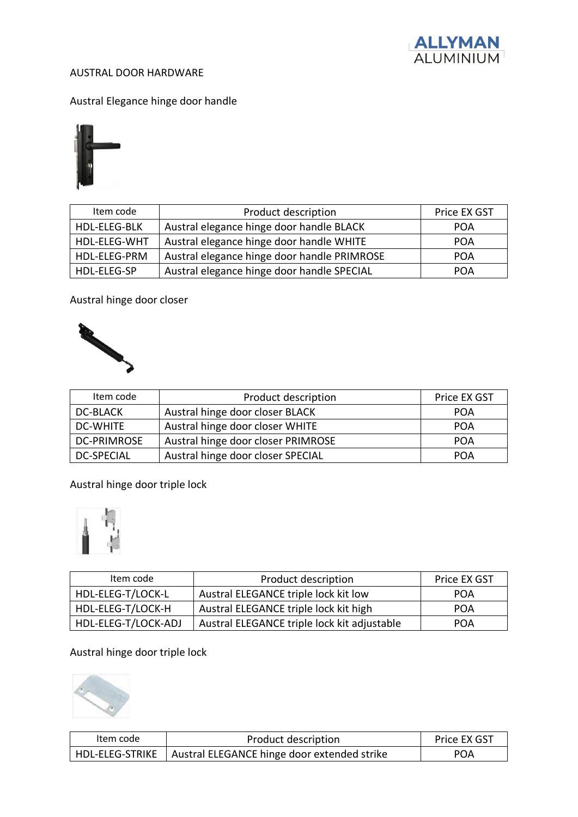

## AUSTRAL DOOR HARDWARE

Austral Elegance hinge door handle



| Item code           | Product description                         | Price EX GST |
|---------------------|---------------------------------------------|--------------|
| <b>HDL-ELEG-BLK</b> | Austral elegance hinge door handle BLACK    | <b>POA</b>   |
| HDL-ELEG-WHT        | Austral elegance hinge door handle WHITE    | <b>POA</b>   |
| HDL-ELEG-PRM        | Austral elegance hinge door handle PRIMROSE | <b>POA</b>   |
| HDL-ELEG-SP         | Austral elegance hinge door handle SPECIAL  | POA          |

Austral hinge door closer



| Item code          | Product description                | Price EX GST |
|--------------------|------------------------------------|--------------|
| <b>DC-BLACK</b>    | Austral hinge door closer BLACK    | <b>POA</b>   |
| <b>DC-WHITE</b>    | Austral hinge door closer WHITE    | <b>POA</b>   |
| <b>DC-PRIMROSE</b> | Austral hinge door closer PRIMROSE | <b>POA</b>   |
| <b>DC-SPECIAL</b>  | Austral hinge door closer SPECIAL  | <b>POA</b>   |

Austral hinge door triple lock



| Item code           | Product description                         | Price EX GST |
|---------------------|---------------------------------------------|--------------|
| HDL-ELEG-T/LOCK-L   | Austral ELEGANCE triple lock kit low        | <b>POA</b>   |
| HDL-ELEG-T/LOCK-H   | Austral ELEGANCE triple lock kit high       | <b>POA</b>   |
| HDL-ELEG-T/LOCK-ADJ | Austral ELEGANCE triple lock kit adjustable | <b>POA</b>   |

## Austral hinge door triple lock



| Item code | Product description                                           | Price EX GST |
|-----------|---------------------------------------------------------------|--------------|
|           | HDL-ELEG-STRIKE   Austral ELEGANCE hinge door extended strike | <b>POA</b>   |